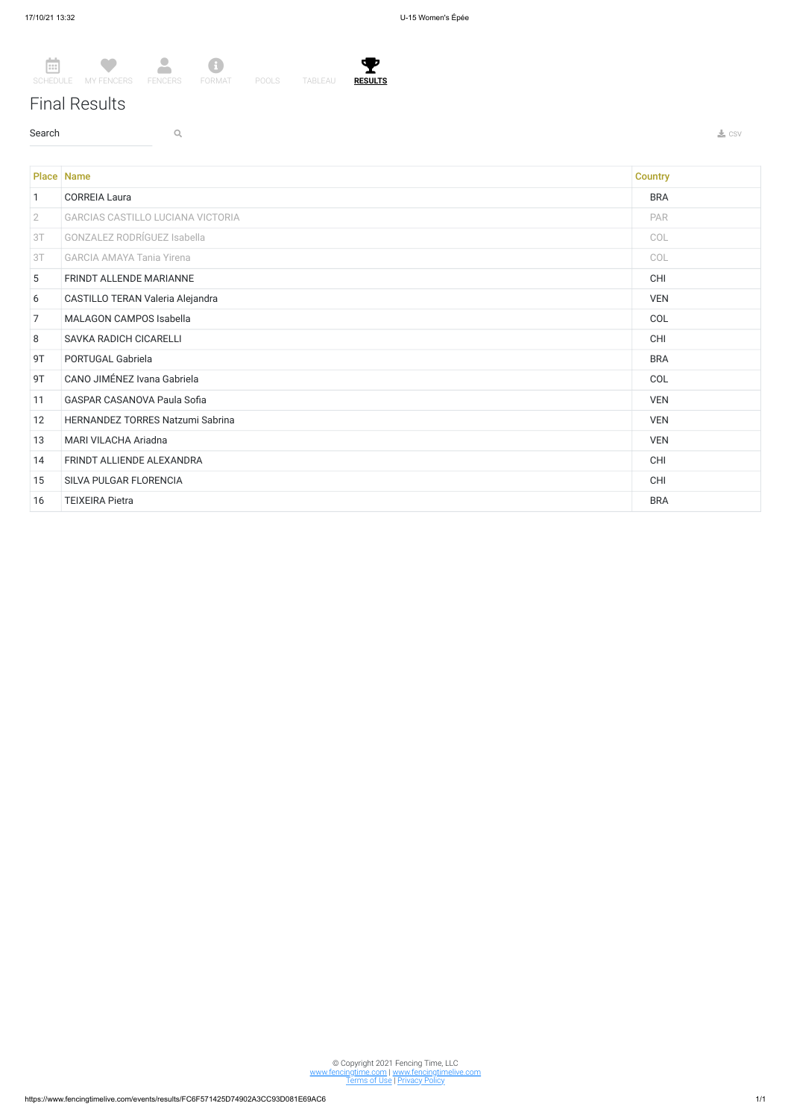$\left[\frac{1}{111}\right]$ SCHEDULE MY FENCERS FENCERS  $\bullet$  $\Delta$ **E**<br>FORMAT POOLS TABLEAU

## Final Results

 $\sim$  Search  $\sim$  Q. The contract of the contract of the contract of the contract of the contract of the contract of the contract of the contract of the contract of the contract of the contract of the contract of the contr



© Copyright 2021 Fencing Time, LLC www.fencingtime.com | www.fencingtimelive.com <u>Terms of Use | Privacy Policy</u>

|                 | Place Name                         | <b>Country</b> |
|-----------------|------------------------------------|----------------|
| $\mathbf{1}$    | <b>CORREIA Laura</b>               | <b>BRA</b>     |
| $2^{\circ}$     | GARCIAS CASTILLO LUCIANA VICTORIA  | PAR            |
| 3T              | <b>GONZALEZ RODRÍGUEZ Isabella</b> | COL            |
| 3T              | <b>GARCIA AMAYA Tania Yirena</b>   | COL            |
| $5\overline{)}$ | FRINDT ALLENDE MARIANNE            | <b>CHI</b>     |
| 6               | CASTILLO TERAN Valeria Alejandra   | <b>VEN</b>     |
| $\overline{7}$  | MALAGON CAMPOS Isabella            | COL            |
| 8               | SAVKA RADICH CICARELLI             | <b>CHI</b>     |
| 9T              | PORTUGAL Gabriela                  | <b>BRA</b>     |
| 9T              | CANO JIMÉNEZ Ivana Gabriela        | COL            |
| 11              | GASPAR CASANOVA Paula Sofia        | <b>VEN</b>     |
| 12              | HERNANDEZ TORRES Natzumi Sabrina   | <b>VEN</b>     |
| 13              | MARI VILACHA Ariadna               | <b>VEN</b>     |
| 14              | FRINDT ALLIENDE ALEXANDRA          | <b>CHI</b>     |
| 15              | SILVA PULGAR FLORENCIA             | <b>CHI</b>     |
| 16              | <b>TEIXEIRA Pietra</b>             | <b>BRA</b>     |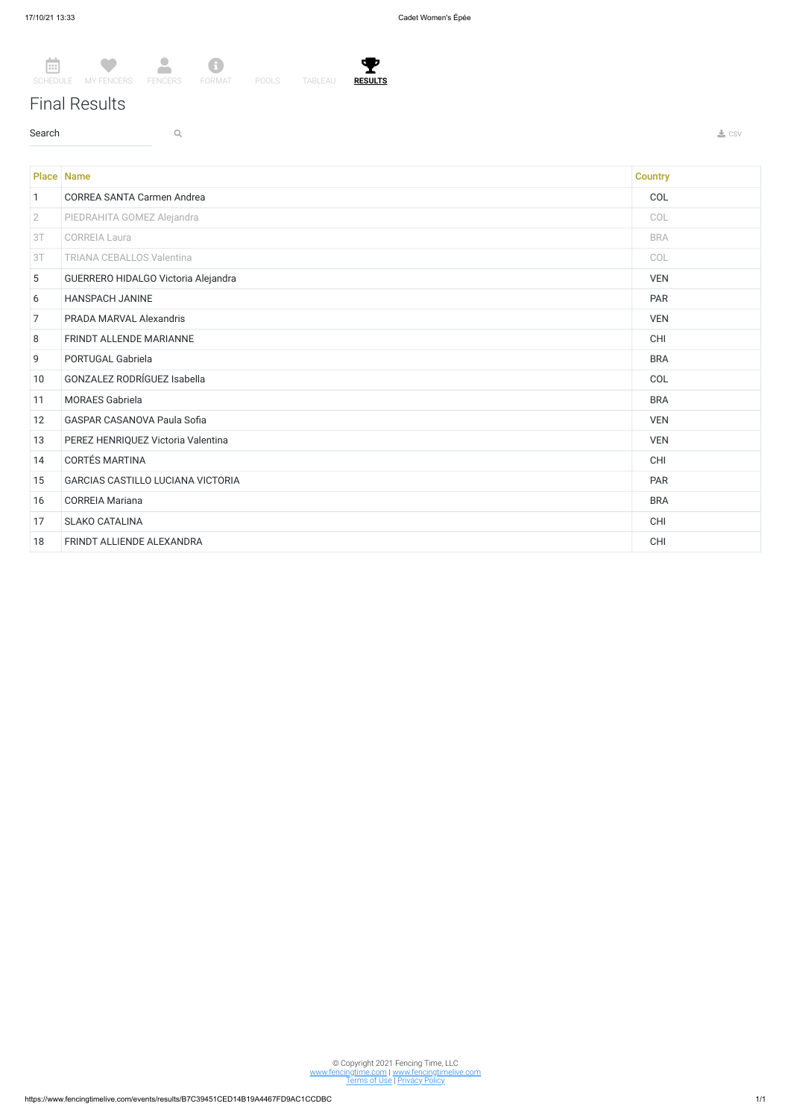Y **RESULTS**

## Final Results

 $\sim$  Search  $\sim$  Q. The contract of the contract of the contract of the contract of the contract of the contract of the contract of the contract of the contract of the contract of the contract of the contract of the contr



Place Name **Country Country Country (2008)** 1 CORREA SANTA Carmen Andrea COL 2 PIEDRAHITA GOMEZ Alejandra COL 3T CORREIA Laura BRA PARA EST ESTADO EN EL ENTREGIA DE EL ENTREGIA DE EL ENTREGIA DE EL ENTREGIA DE EL ENTREGIA 3T TRIANA CEBALLOS Valentina COL 5 GUERRERO HIDALGO Victoria Alejandra VEN 6 HANSPACH JANINE PAR 7 PRADA MARVAL Alexandris VEN 8 FRINDT ALLENDE MARIANNE CHI 9 PORTUGAL Gabriela BRA 10 GONZALEZ RODRÍGUEZ Isabella COL 11 MORAES Gabriela BRA 12 GASPAR CASANOVA Paula Sofia VEN 13 PEREZ HENRIQUEZ Victoria Valentina VEN 14 CORTÉS MARTINA CHI 15 GARCIAS CASTILLO LUCIANA VICTORIA PAR 16 CORREIA Mariana BRA 17 SLAKO CATALINA CHI 18 FRINDT ALLIENDE ALEXANDRA CHI

> © Copyright 2021 Fencing Time, LLC www.fencingtime.com | www.fencingtimelive.com <u>Terms of Use | Privacy Policy</u>